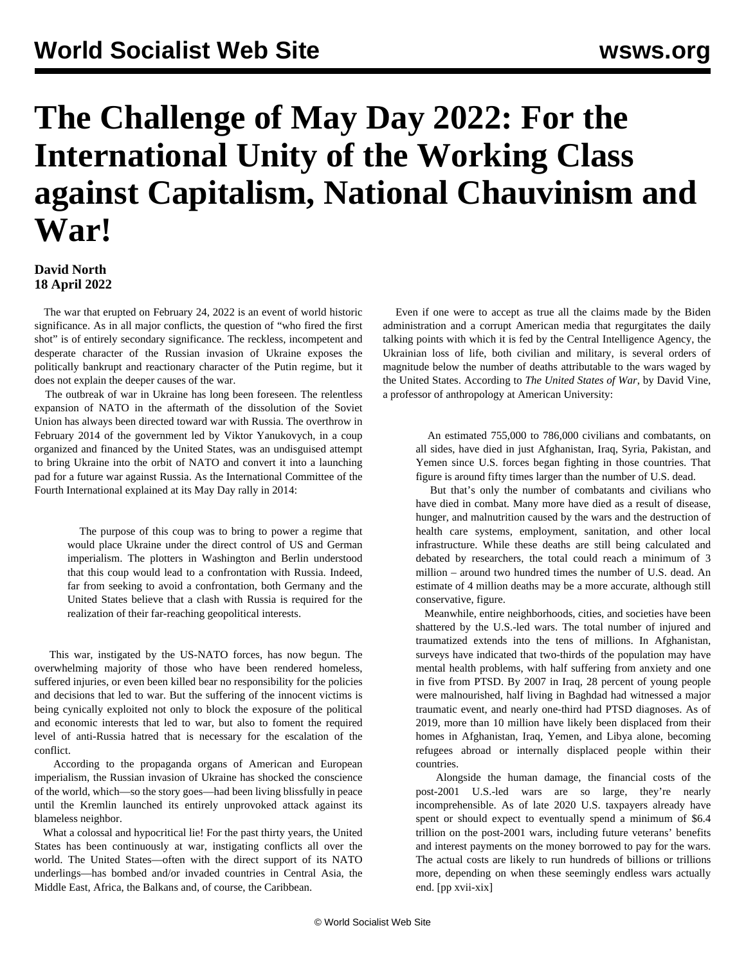## **The Challenge of May Day 2022: For the International Unity of the Working Class against Capitalism, National Chauvinism and War!**

## **David North 18 April 2022**

 The war that erupted on February 24, 2022 is an event of world historic significance. As in all major conflicts, the question of "who fired the first shot" is of entirely secondary significance. The reckless, incompetent and desperate character of the Russian invasion of Ukraine exposes the politically bankrupt and reactionary character of the Putin regime, but it does not explain the deeper causes of the war.

 The outbreak of war in Ukraine has long been foreseen. The relentless expansion of NATO in the aftermath of the dissolution of the Soviet Union has always been directed toward war with Russia. The overthrow in February 2014 of the government led by Viktor Yanukovych, in a coup organized and financed by the United States, was an undisguised attempt to bring Ukraine into the orbit of NATO and convert it into a launching pad for a future war against Russia. As the International Committee of the Fourth International [explained](/en/articles/2014/05/05/pers-m05.html) at its May Day rally in 2014:

 The purpose of this coup was to bring to power a regime that would place Ukraine under the direct control of US and German imperialism. The plotters in Washington and Berlin understood that this coup would lead to a confrontation with Russia. Indeed, far from seeking to avoid a confrontation, both Germany and the United States believe that a clash with Russia is required for the realization of their far-reaching geopolitical interests.

 This war, instigated by the US-NATO forces, has now begun. The overwhelming majority of those who have been rendered homeless, suffered injuries, or even been killed bear no responsibility for the policies and decisions that led to war. But the suffering of the innocent victims is being cynically exploited not only to block the exposure of the political and economic interests that led to war, but also to foment the required level of anti-Russia hatred that is necessary for the escalation of the conflict.

 According to the propaganda organs of American and European imperialism, the Russian invasion of Ukraine has shocked the conscience of the world, which—so the story goes—had been living blissfully in peace until the Kremlin launched its entirely unprovoked attack against its blameless neighbor.

 What a colossal and hypocritical lie! For the past thirty years, the United States has been continuously at war, instigating conflicts all over the world. The United States—often with the direct support of its NATO underlings—has bombed and/or invaded countries in Central Asia, the Middle East, Africa, the Balkans and, of course, the Caribbean.

 Even if one were to accept as true all the claims made by the Biden administration and a corrupt American media that regurgitates the daily talking points with which it is fed by the Central Intelligence Agency, the Ukrainian loss of life, both civilian and military, is several orders of magnitude below the number of deaths attributable to the wars waged by the United States. According to *The United States of War*, by David Vine, a professor of anthropology at American University:

 An estimated 755,000 to 786,000 civilians and combatants, on all sides, have died in just Afghanistan, Iraq, Syria, Pakistan, and Yemen since U.S. forces began fighting in those countries. That figure is around fifty times larger than the number of U.S. dead.

 But that's only the number of combatants and civilians who have died in combat. Many more have died as a result of disease, hunger, and malnutrition caused by the wars and the destruction of health care systems, employment, sanitation, and other local infrastructure. While these deaths are still being calculated and debated by researchers, the total could reach a minimum of 3 million – around two hundred times the number of U.S. dead. An estimate of 4 million deaths may be a more accurate, although still conservative, figure.

 Meanwhile, entire neighborhoods, cities, and societies have been shattered by the U.S.-led wars. The total number of injured and traumatized extends into the tens of millions. In Afghanistan, surveys have indicated that two-thirds of the population may have mental health problems, with half suffering from anxiety and one in five from PTSD. By 2007 in Iraq, 28 percent of young people were malnourished, half living in Baghdad had witnessed a major traumatic event, and nearly one-third had PTSD diagnoses. As of 2019, more than 10 million have likely been displaced from their homes in Afghanistan, Iraq, Yemen, and Libya alone, becoming refugees abroad or internally displaced people within their countries.

 Alongside the human damage, the financial costs of the post-2001 U.S.-led wars are so large, they're nearly incomprehensible. As of late 2020 U.S. taxpayers already have spent or should expect to eventually spend a minimum of \$6.4 trillion on the post-2001 wars, including future veterans' benefits and interest payments on the money borrowed to pay for the wars. The actual costs are likely to run hundreds of billions or trillions more, depending on when these seemingly endless wars actually end. [pp xvii-xix]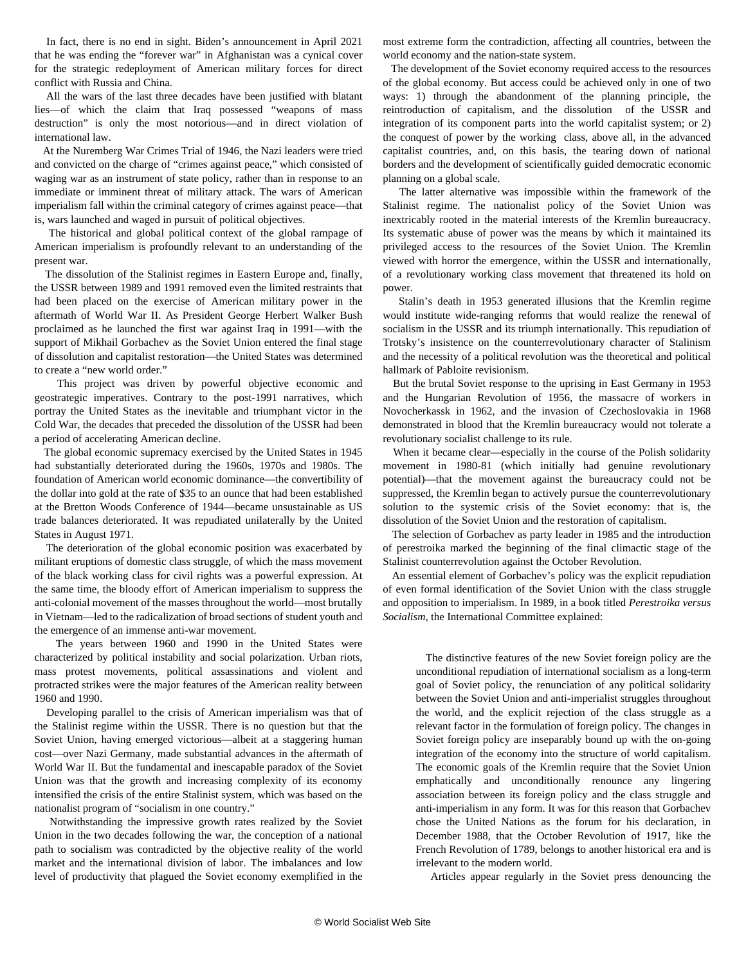In fact, there is no end in sight. Biden's announcement in April 2021 that he was ending the "forever war" in Afghanistan was a cynical cover for the strategic redeployment of American military forces for direct conflict with Russia and China.

 All the wars of the last three decades have been justified with blatant lies—of which the claim that Iraq possessed "weapons of mass destruction" is only the most notorious—and in direct violation of international law.

 At the Nuremberg War Crimes Trial of 1946, the Nazi leaders were tried and convicted on the charge of "crimes against peace," which consisted of waging war as an instrument of state policy, rather than in response to an immediate or imminent threat of military attack. The wars of American imperialism fall within the criminal category of crimes against peace—that is, wars launched and waged in pursuit of political objectives.

 The historical and global political context of the global rampage of American imperialism is profoundly relevant to an understanding of the present war.

 The dissolution of the Stalinist regimes in Eastern Europe and, finally, the USSR between 1989 and 1991 removed even the limited restraints that had been placed on the exercise of American military power in the aftermath of World War II. As President George Herbert Walker Bush proclaimed as he launched the first war against Iraq in 1991—with the support of Mikhail Gorbachev as the Soviet Union entered the final stage of dissolution and capitalist restoration—the United States was determined to create a "new world order."

 This project was driven by powerful objective economic and geostrategic imperatives. Contrary to the post-1991 narratives, which portray the United States as the inevitable and triumphant victor in the Cold War, the decades that preceded the dissolution of the USSR had been a period of accelerating American decline.

 The global economic supremacy exercised by the United States in 1945 had substantially deteriorated during the 1960s, 1970s and 1980s. The foundation of American world economic dominance—the convertibility of the dollar into gold at the rate of \$35 to an ounce that had been established at the Bretton Woods Conference of 1944—became unsustainable as US trade balances deteriorated. It was repudiated unilaterally by the United States in August 1971.

 The deterioration of the global economic position was exacerbated by militant eruptions of domestic class struggle, of which the mass movement of the black working class for civil rights was a powerful expression. At the same time, the bloody effort of American imperialism to suppress the anti-colonial movement of the masses throughout the world—most brutally in Vietnam—led to the radicalization of broad sections of student youth and the emergence of an immense anti-war movement.

 The years between 1960 and 1990 in the United States were characterized by political instability and social polarization. Urban riots, mass protest movements, political assassinations and violent and protracted strikes were the major features of the American reality between 1960 and 1990.

 Developing parallel to the crisis of American imperialism was that of the Stalinist regime within the USSR. There is no question but that the Soviet Union, having emerged victorious—albeit at a staggering human cost—over Nazi Germany, made substantial advances in the aftermath of World War II. But the fundamental and inescapable paradox of the Soviet Union was that the growth and increasing complexity of its economy intensified the crisis of the entire Stalinist system, which was based on the nationalist program of "socialism in one country."

 Notwithstanding the impressive growth rates realized by the Soviet Union in the two decades following the war, the conception of a national path to socialism was contradicted by the objective reality of the world market and the international division of labor. The imbalances and low level of productivity that plagued the Soviet economy exemplified in the most extreme form the contradiction, affecting all countries, between the world economy and the nation-state system.

 The development of the Soviet economy required access to the resources of the global economy. But access could be achieved only in one of two ways: 1) through the abandonment of the planning principle, the reintroduction of capitalism, and the dissolution of the USSR and integration of its component parts into the world capitalist system; or 2) the conquest of power by the working class, above all, in the advanced capitalist countries, and, on this basis, the tearing down of national borders and the development of scientifically guided democratic economic planning on a global scale.

 The latter alternative was impossible within the framework of the Stalinist regime. The nationalist policy of the Soviet Union was inextricably rooted in the material interests of the Kremlin bureaucracy. Its systematic abuse of power was the means by which it maintained its privileged access to the resources of the Soviet Union. The Kremlin viewed with horror the emergence, within the USSR and internationally, of a revolutionary working class movement that threatened its hold on power.

 Stalin's death in 1953 generated illusions that the Kremlin regime would institute wide-ranging reforms that would realize the renewal of socialism in the USSR and its triumph internationally. This repudiation of Trotsky's insistence on the counterrevolutionary character of Stalinism and the necessity of a political revolution was the theoretical and political hallmark of Pabloite revisionism.

 But the brutal Soviet response to the uprising in East Germany in 1953 and the Hungarian Revolution of 1956, the massacre of workers in Novocherkassk in 1962, and the invasion of Czechoslovakia in 1968 demonstrated in blood that the Kremlin bureaucracy would not tolerate a revolutionary socialist challenge to its rule.

 When it became clear—especially in the course of the Polish solidarity movement in 1980-81 (which initially had genuine revolutionary potential)—that the movement against the bureaucracy could not be suppressed, the Kremlin began to actively pursue the counterrevolutionary solution to the systemic crisis of the Soviet economy: that is, the dissolution of the Soviet Union and the restoration of capitalism.

 The selection of Gorbachev as party leader in 1985 and the introduction of perestroika marked the beginning of the final climactic stage of the Stalinist counterrevolution against the October Revolution.

 An essential element of Gorbachev's policy was the explicit repudiation of even formal identification of the Soviet Union with the class struggle and opposition to imperialism. In 1989, in a book titled *[Perestroika versus](/en/special/library/perestroika-versus-socialism/00.html) [Socialism](/en/special/library/perestroika-versus-socialism/00.html)*, the International Committee explained:

 The distinctive features of the new Soviet foreign policy are the unconditional repudiation of international socialism as a long-term goal of Soviet policy, the renunciation of any political solidarity between the Soviet Union and anti-imperialist struggles throughout the world, and the explicit rejection of the class struggle as a relevant factor in the formulation of foreign policy. The changes in Soviet foreign policy are inseparably bound up with the on-going integration of the economy into the structure of world capitalism. The economic goals of the Kremlin require that the Soviet Union emphatically and unconditionally renounce any lingering association between its foreign policy and the class struggle and anti-imperialism in any form. It was for this reason that Gorbachev chose the United Nations as the forum for his declaration, in December 1988, that the October Revolution of 1917, like the French Revolution of 1789, belongs to another historical era and is irrelevant to the modern world.

Articles appear regularly in the Soviet press denouncing the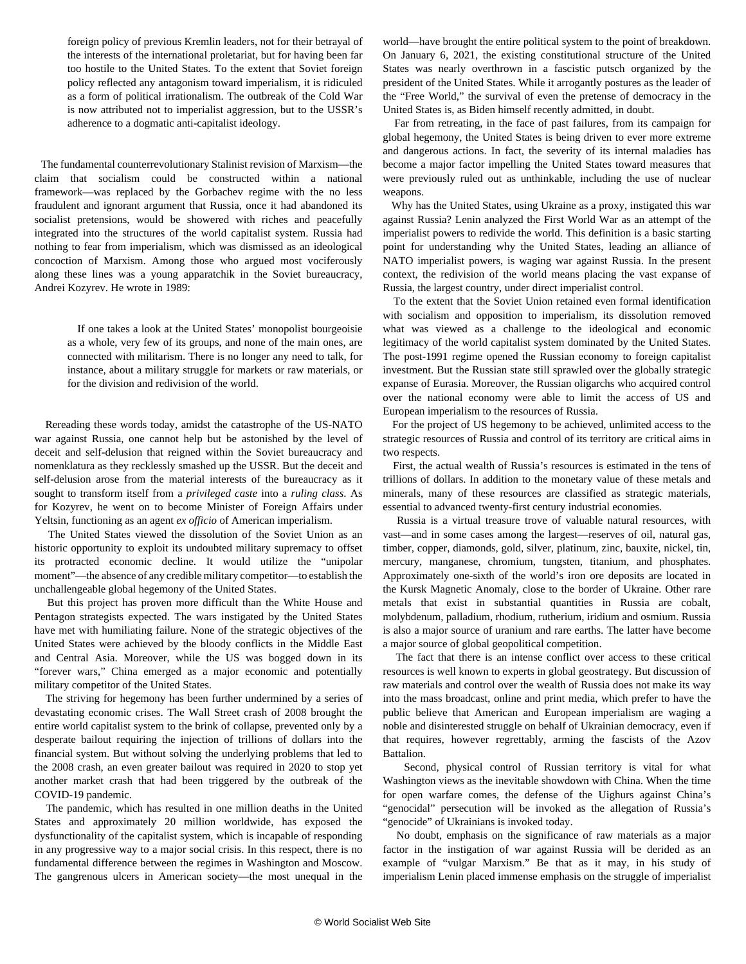foreign policy of previous Kremlin leaders, not for their betrayal of the interests of the international proletariat, but for having been far too hostile to the United States. To the extent that Soviet foreign policy reflected any antagonism toward imperialism, it is ridiculed as a form of political irrationalism. The outbreak of the Cold War is now attributed not to imperialist aggression, but to the USSR's adherence to a dogmatic anti-capitalist ideology.

 The fundamental counterrevolutionary Stalinist revision of Marxism—the claim that socialism could be constructed within a national framework—was replaced by the Gorbachev regime with the no less fraudulent and ignorant argument that Russia, once it had abandoned its socialist pretensions, would be showered with riches and peacefully integrated into the structures of the world capitalist system. Russia had nothing to fear from imperialism, which was dismissed as an ideological concoction of Marxism. Among those who argued most vociferously along these lines was a young apparatchik in the Soviet bureaucracy, Andrei Kozyrev. He wrote in 1989:

 If one takes a look at the United States' monopolist bourgeoisie as a whole, very few of its groups, and none of the main ones, are connected with militarism. There is no longer any need to talk, for instance, about a military struggle for markets or raw materials, or for the division and redivision of the world.

 Rereading these words today, amidst the catastrophe of the US-NATO war against Russia, one cannot help but be astonished by the level of deceit and self-delusion that reigned within the Soviet bureaucracy and nomenklatura as they recklessly smashed up the USSR. But the deceit and self-delusion arose from the material interests of the bureaucracy as it sought to transform itself from a *privileged caste* into a *ruling class*. As for Kozyrev, he went on to become Minister of Foreign Affairs under Yeltsin, functioning as an agent *ex officio* of American imperialism.

 The United States viewed the dissolution of the Soviet Union as an historic opportunity to exploit its undoubted military supremacy to offset its protracted economic decline. It would utilize the "unipolar moment"—the absence of any credible military competitor—to establish the unchallengeable global hegemony of the United States.

 But this project has proven more difficult than the White House and Pentagon strategists expected. The wars instigated by the United States have met with humiliating failure. None of the strategic objectives of the United States were achieved by the bloody conflicts in the Middle East and Central Asia. Moreover, while the US was bogged down in its "forever wars," China emerged as a major economic and potentially military competitor of the United States.

 The striving for hegemony has been further undermined by a series of devastating economic crises. The Wall Street crash of 2008 brought the entire world capitalist system to the brink of collapse, prevented only by a desperate bailout requiring the injection of trillions of dollars into the financial system. But without solving the underlying problems that led to the 2008 crash, an even greater bailout was required in 2020 to stop yet another market crash that had been triggered by the outbreak of the COVID-19 pandemic.

 The pandemic, which has resulted in one million deaths in the United States and approximately 20 million worldwide, has exposed the dysfunctionality of the capitalist system, which is incapable of responding in any progressive way to a major social crisis. In this respect, there is no fundamental difference between the regimes in Washington and Moscow. The gangrenous ulcers in American society—the most unequal in the world—have brought the entire political system to the point of breakdown. On January 6, 2021, the existing constitutional structure of the United States was nearly overthrown in a fascistic putsch organized by the president of the United States. While it arrogantly postures as the leader of the "Free World," the survival of even the pretense of democracy in the United States is, as Biden himself recently admitted, in doubt.

 Far from retreating, in the face of past failures, from its campaign for global hegemony, the United States is being driven to ever more extreme and dangerous actions. In fact, the severity of its internal maladies has become a major factor impelling the United States toward measures that were previously ruled out as unthinkable, including the use of nuclear weapons.

 Why has the United States, using Ukraine as a proxy, instigated this war against Russia? Lenin analyzed the First World War as an attempt of the imperialist powers to redivide the world. This definition is a basic starting point for understanding why the United States, leading an alliance of NATO imperialist powers, is waging war against Russia. In the present context, the redivision of the world means placing the vast expanse of Russia, the largest country, under direct imperialist control.

 To the extent that the Soviet Union retained even formal identification with socialism and opposition to imperialism, its dissolution removed what was viewed as a challenge to the ideological and economic legitimacy of the world capitalist system dominated by the United States. The post-1991 regime opened the Russian economy to foreign capitalist investment. But the Russian state still sprawled over the globally strategic expanse of Eurasia. Moreover, the Russian oligarchs who acquired control over the national economy were able to limit the access of US and European imperialism to the resources of Russia.

 For the project of US hegemony to be achieved, unlimited access to the strategic resources of Russia and control of its territory are critical aims in two respects.

 First, the actual wealth of Russia's resources is estimated in the tens of trillions of dollars. In addition to the monetary value of these metals and minerals, many of these resources are classified as strategic materials, essential to advanced twenty-first century industrial economies.

 Russia is a virtual treasure trove of valuable natural resources, with vast—and in some cases among the largest—reserves of oil, natural gas, timber, copper, diamonds, gold, silver, platinum, zinc, bauxite, nickel, tin, mercury, manganese, chromium, tungsten, titanium, and phosphates. Approximately one-sixth of the world's iron ore deposits are located in the Kursk Magnetic Anomaly, close to the border of Ukraine. Other rare metals that exist in substantial quantities in Russia are cobalt, molybdenum, palladium, rhodium, rutherium, iridium and osmium. Russia is also a major source of uranium and rare earths. The latter have become a major source of global geopolitical competition.

 The fact that there is an intense conflict over access to these critical resources is well known to experts in global geostrategy. But discussion of raw materials and control over the wealth of Russia does not make its way into the mass broadcast, online and print media, which prefer to have the public believe that American and European imperialism are waging a noble and disinterested struggle on behalf of Ukrainian democracy, even if that requires, however regrettably, arming the fascists of the Azov Battalion.

 Second, physical control of Russian territory is vital for what Washington views as the inevitable showdown with China. When the time for open warfare comes, the defense of the Uighurs against China's "genocidal" persecution will be invoked as the allegation of Russia's "genocide" of Ukrainians is invoked today.

 No doubt, emphasis on the significance of raw materials as a major factor in the instigation of war against Russia will be derided as an example of "vulgar Marxism." Be that as it may, in his study of imperialism Lenin placed immense emphasis on the struggle of imperialist